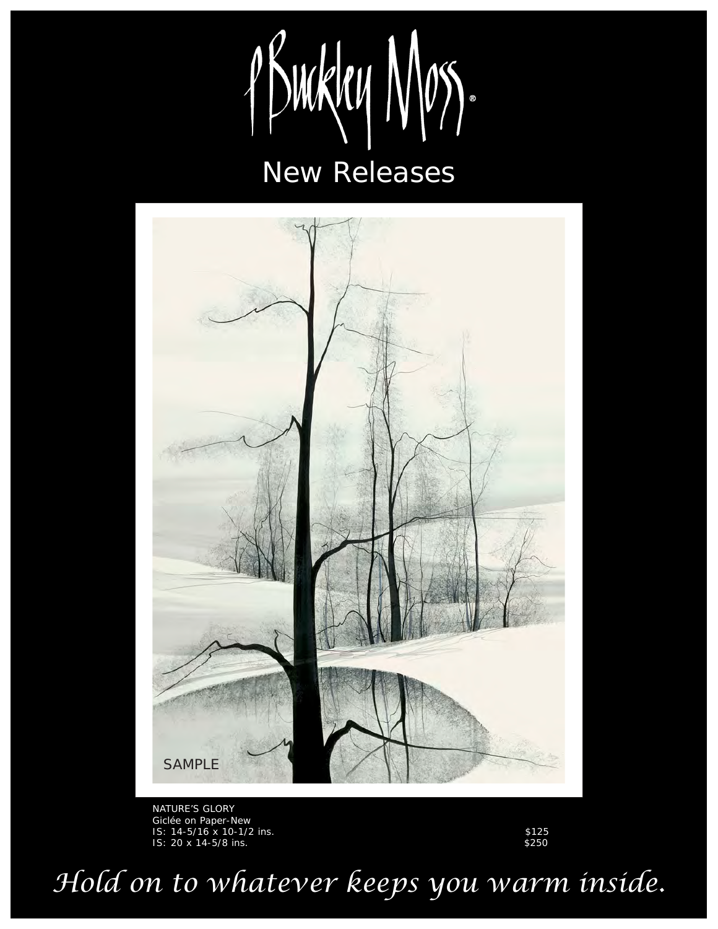



NATURE'S GLORY Giclée on Paper-New IS: 14-5/16 x 10-1/2 ins. \$125 IS: 20 x 14-5/8 ins.  $\frac{1}{250}$ 

*Hold on to whatever keeps you warm inside.*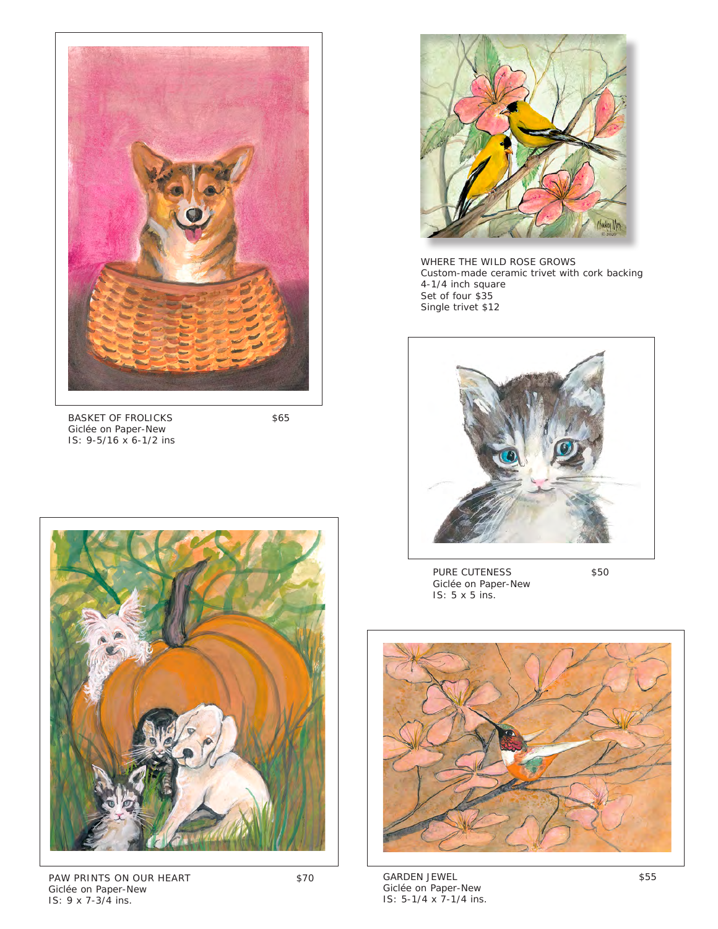

BASKET OF FROLICKS \$65 Giclée on Paper-New IS: 9-5/16 x 6-1/2 ins



PAW PRINTS ON OUR HEART \$70 Giclée on Paper-New IS: 9 x 7-3/4 ins.



WHERE THE WILD ROSE GROWS Custom-made ceramic trivet with cork backing 4-1/4 inch square Set of four \$35 Single trivet \$12



PURE CUTENESS \$50 Giclée on Paper-New IS: 5 x 5 ins.



GARDEN JEWEL \$55 Giclée on Paper-New IS: 5-1/4 x 7-1/4 ins.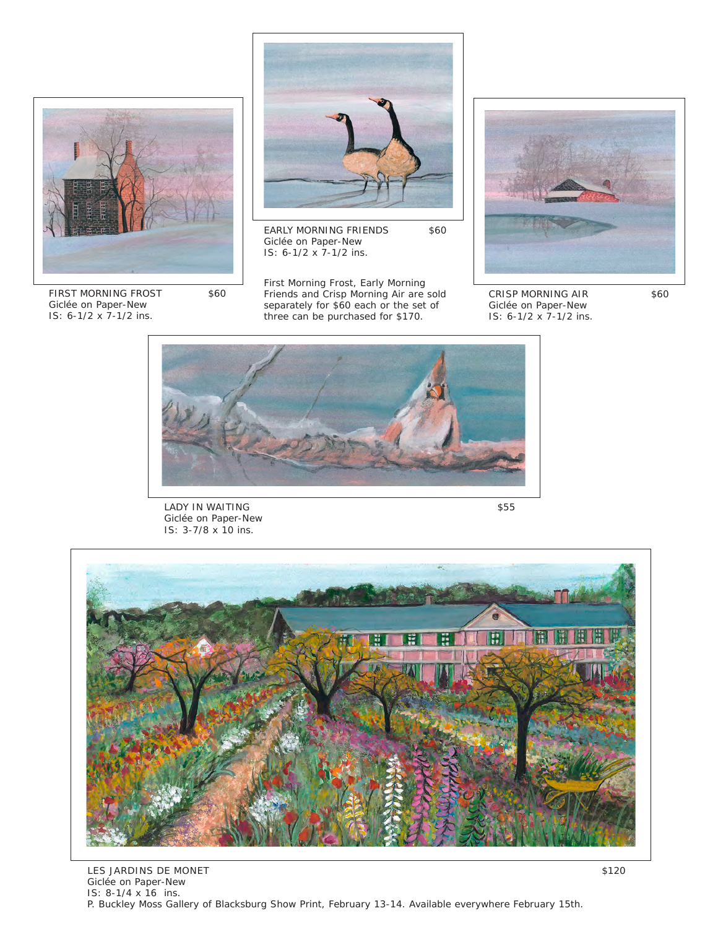

FIRST MORNING FROST \$60 Giclée on Paper-New IS: 6-1/2 x 7-1/2 ins.



EARLY MORNING FRIENDS \$60 Giclée on Paper-New IS: 6-1/2 x 7-1/2 ins.

First Morning Frost, Early Morning Friends and Crisp Morning Air are sold separately for \$60 each or the set of three can be purchased for \$170.



CRISP MORNING AIR \$60 Giclée on Paper-New IS: 6-1/2 x 7-1/2 ins.



LADY IN WAITING \$55 Giclée on Paper-New IS: 3-7/8 x 10 ins.